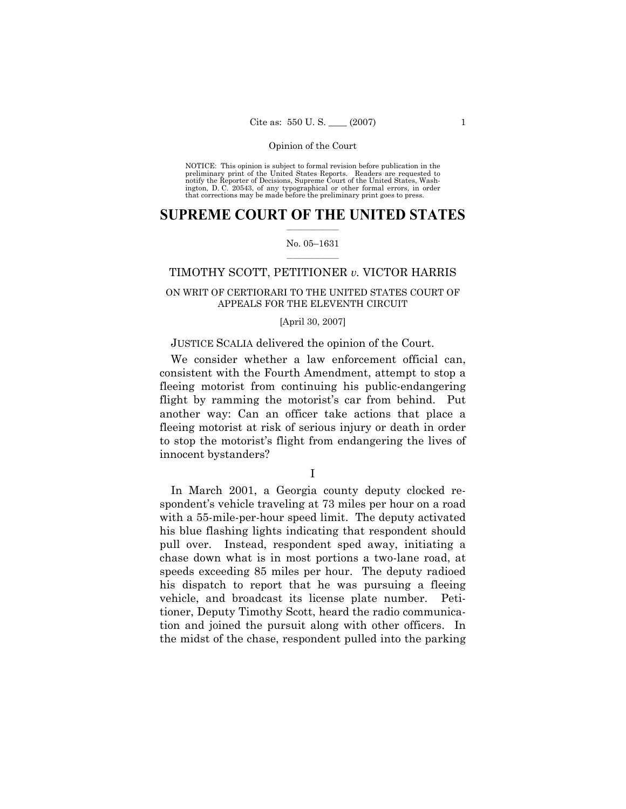NOTICE: This opinion is subject to formal revision before publication in the preliminary print of the United States Reports. Readers are requested to notify the Reporter of Decisions, Supreme Court of the United States, Washington, D. C. 20543, of any typographical or other formal errors, in order that corrections may be made before the preliminary print goes to press.

## **SUPREME COURT OF THE UNITED STATES**  $\frac{1}{2}$  ,  $\frac{1}{2}$  ,  $\frac{1}{2}$  ,  $\frac{1}{2}$  ,  $\frac{1}{2}$  ,  $\frac{1}{2}$  ,  $\frac{1}{2}$

### No. 05-1631  $\mathcal{L}=\mathcal{L}$

# TIMOTHY SCOTT, PETITIONER *v.* VICTOR HARRIS

# ON WRIT OF CERTIORARI TO THE UNITED STATES COURT OF APPEALS FOR THE ELEVENTH CIRCUIT

### [April 30, 2007]

# JUSTICE SCALIA delivered the opinion of the Court.

 We consider whether a law enforcement official can, consistent with the Fourth Amendment, attempt to stop a fleeing motorist from continuing his public-endangering flight by ramming the motorist's car from behind. Put another way: Can an officer take actions that place a fleeing motorist at risk of serious injury or death in order to stop the motorist's flight from endangering the lives of innocent bystanders?

I

 In March 2001, a Georgia county deputy clocked respondentís vehicle traveling at 73 miles per hour on a road with a 55-mile-per-hour speed limit. The deputy activated his blue flashing lights indicating that respondent should pull over. Instead, respondent sped away, initiating a chase down what is in most portions a two-lane road, at speeds exceeding 85 miles per hour. The deputy radioed his dispatch to report that he was pursuing a fleeing vehicle, and broadcast its license plate number. Petitioner, Deputy Timothy Scott, heard the radio communication and joined the pursuit along with other officers. In the midst of the chase, respondent pulled into the parking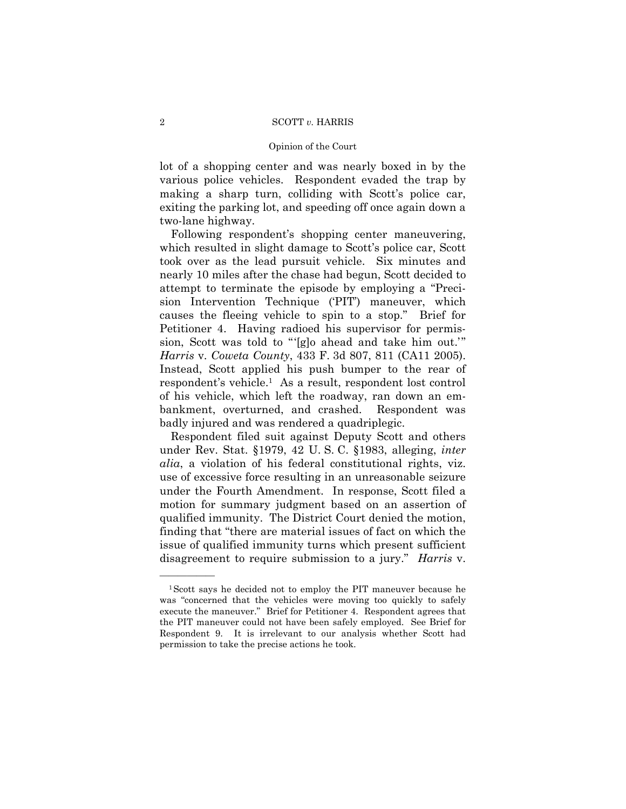### Opinion of the Court

lot of a shopping center and was nearly boxed in by the various police vehicles. Respondent evaded the trap by making a sharp turn, colliding with Scott's police car, exiting the parking lot, and speeding off once again down a two-lane highway.

Following respondent's shopping center maneuvering, which resulted in slight damage to Scott's police car, Scott took over as the lead pursuit vehicle. Six minutes and nearly 10 miles after the chase had begun, Scott decided to attempt to terminate the episode by employing a "Precision Intervention Technique (PIT) maneuver, which causes the fleeing vehicle to spin to a stop." Brief for Petitioner 4. Having radioed his supervisor for permission, Scott was told to "'[g]o ahead and take him out.'" *Harris* v. *Coweta County*, 433 F. 3d 807, 811 (CA11 2005). Instead, Scott applied his push bumper to the rear of respondentís vehicle.1 As a result, respondent lost control of his vehicle, which left the roadway, ran down an embankment, overturned, and crashed. Respondent was badly injured and was rendered a quadriplegic.

 Respondent filed suit against Deputy Scott and others under Rev. Stat. ß1979, 42 U. S. C. ß1983, alleging, *inter alia*, a violation of his federal constitutional rights, viz. use of excessive force resulting in an unreasonable seizure under the Fourth Amendment. In response, Scott filed a motion for summary judgment based on an assertion of qualified immunity. The District Court denied the motion, finding that "there are material issues of fact on which the issue of qualified immunity turns which present sufficient disagreement to require submission to a jury." *Harris* v.

<sup>1</sup>Scott says he decided not to employ the PIT maneuver because he was "concerned that the vehicles were moving too quickly to safely execute the maneuver." Brief for Petitioner 4. Respondent agrees that the PIT maneuver could not have been safely employed. See Brief for Respondent 9. It is irrelevant to our analysis whether Scott had permission to take the precise actions he took.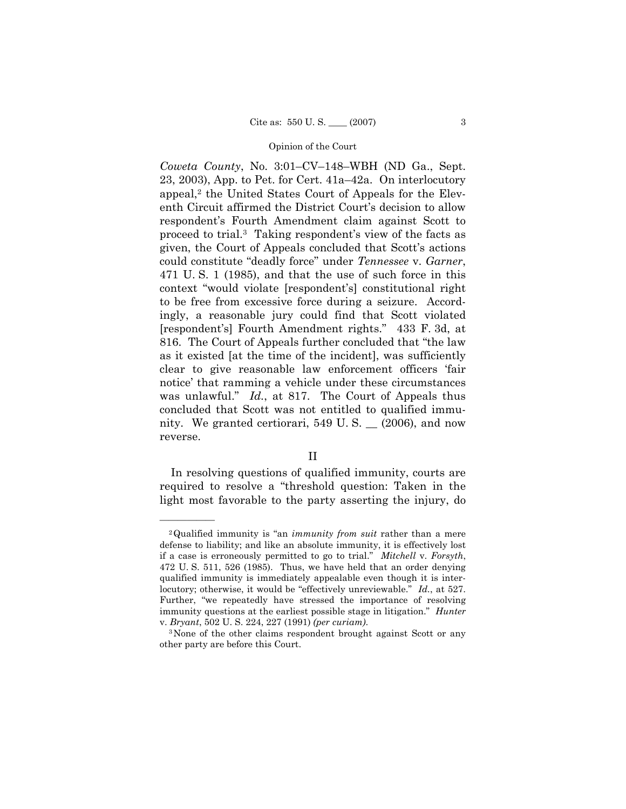*Coweta County*, No. 3:01–CV–148–WBH (ND Ga., Sept. 23, 2003), App. to Pet. for Cert.  $41a-42a$ . On interlocutory appeal,<sup>2</sup> the United States Court of Appeals for the Eleventh Circuit affirmed the District Court's decision to allow respondentís Fourth Amendment claim against Scott to proceed to trial.<sup>3</sup> Taking respondent's view of the facts as given, the Court of Appeals concluded that Scott's actions could constitute "deadly force" under *Tennessee* v. *Garner*, 471 U. S. 1 (1985), and that the use of such force in this context "would violate [respondent's] constitutional right to be free from excessive force during a seizure. Accordingly, a reasonable jury could find that Scott violated [respondent's] Fourth Amendment rights." 433 F. 3d, at 816. The Court of Appeals further concluded that "the law as it existed [at the time of the incident], was sufficiently clear to give reasonable law enforcement officers 'fair notice' that ramming a vehicle under these circumstances was unlawful.<sup>n</sup> *Id.*, at 817. The Court of Appeals thus concluded that Scott was not entitled to qualified immunity. We granted certiorari, 549 U. S. \_\_ (2006), and now reverse.

 In resolving questions of qualified immunity, courts are required to resolve a "threshold question: Taken in the light most favorable to the party asserting the injury, do

<sup>&</sup>lt;sup>2</sup>Qualified immunity is "an *immunity from suit* rather than a mere defense to liability; and like an absolute immunity, it is effectively lost if a case is erroneously permitted to go to trial.î *Mitchell* v. *Forsyth*, 472 U. S. 511, 526 (1985). Thus, we have held that an order denying qualified immunity is immediately appealable even though it is interlocutory; otherwise, it would be "effectively unreviewable." *Id.*, at 527. Further, "we repeatedly have stressed the importance of resolving immunity questions at the earliest possible stage in litigation.î *Hunter*

v. *Bryant*, 502 U. S. 224, 227 (1991) *(per curiam)*. 3None of the other claims respondent brought against Scott or any other party are before this Court.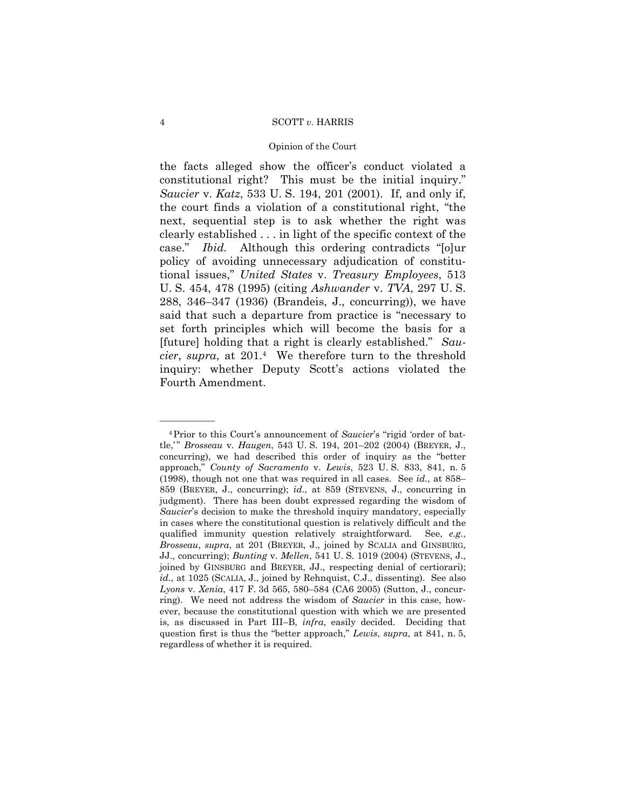### Opinion of the Court

the facts alleged show the officerís conduct violated a constitutional right? This must be the initial inquiry." *Saucier* v. *Katz*, 533 U. S. 194, 201 (2001). If, and only if, the court finds a violation of a constitutional right, "the next, sequential step is to ask whether the right was clearly established . . . in light of the specific context of the case." *Ibid.* Although this ordering contradicts "[o]ur policy of avoiding unnecessary adjudication of constitutional issues,î *United States* v. *Treasury Employees*, 513 U. S. 454, 478 (1995) (citing *Ashwander* v. *TVA*, 297 U. S.  $288, 346-347$  (1936) (Brandeis, J., concurring)), we have said that such a departure from practice is "necessary to set forth principles which will become the basis for a [future] holding that a right is clearly established.î *Saucier*, *supra*, at 201.4 We therefore turn to the threshold inquiry: whether Deputy Scott's actions violated the Fourth Amendment.

<sup>&</sup>lt;sup>4</sup>Prior to this Court's announcement of *Saucier's* "rigid 'order of battle," *Brosseau* v. *Haugen*, 543 U. S. 194, 201-202 (2004) (BREYER, J., concurring), we had described this order of inquiry as the "better approach,î *County of Sacramento* v. *Lewis*, 523 U. S. 833, 841, n. 5 (1998), though not one that was required in all cases. See  $id.$ , at 858– 859 (BREYER, J., concurring); *id.*, at 859 (STEVENS, J., concurring in judgment). There has been doubt expressed regarding the wisdom of *Saucier*'s decision to make the threshold inquiry mandatory, especially in cases where the constitutional question is relatively difficult and the qualified immunity question relatively straightforward. See, *e.g.*, *Brosseau*, *supra*, at 201 (BREYER, J., joined by SCALIA and GINSBURG, JJ., concurring); *Bunting* v. *Mellen*, 541 U. S. 1019 (2004) (STEVENS, J., joined by GINSBURG and BREYER, JJ., respecting denial of certiorari); *id.*, at 1025 (SCALIA, J., joined by Rehnquist, C.J., dissenting). See also *Lyons* v. *Xenia*, 417 F. 3d 565, 580-584 (CA6 2005) (Sutton, J., concurring). We need not address the wisdom of *Saucier* in this case, however, because the constitutional question with which we are presented is, as discussed in Part III-B, *infra*, easily decided. Deciding that question first is thus the "better approach," *Lewis*, *supra*, at 841, n. 5, regardless of whether it is required.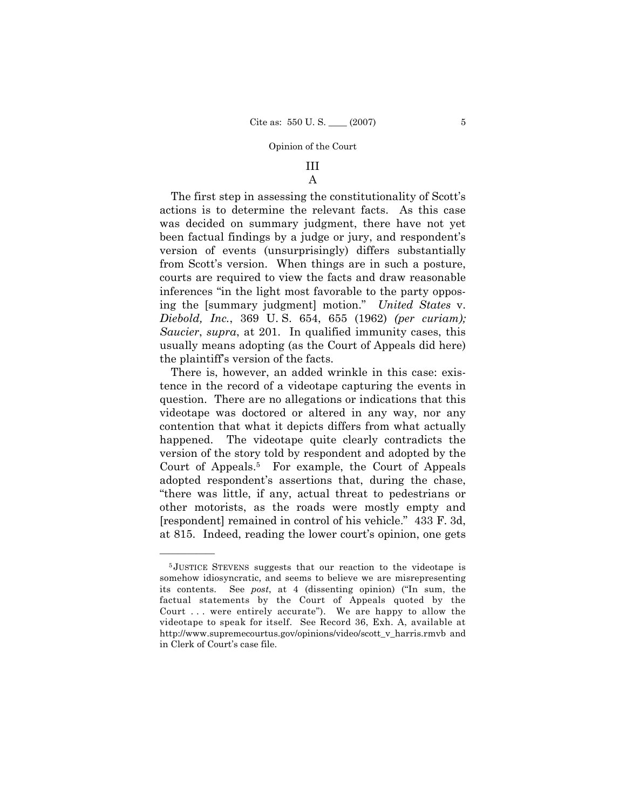# III

# A

The first step in assessing the constitutionality of Scott's actions is to determine the relevant facts. As this case was decided on summary judgment, there have not yet been factual findings by a judge or jury, and respondent's version of events (unsurprisingly) differs substantially from Scott's version. When things are in such a posture, courts are required to view the facts and draw reasonable inferences "in the light most favorable to the party opposing the [summary judgment] motion.î *United States* v. *Diebold, Inc.*, 369 U. S. 654, 655 (1962) *(per curiam); Saucier*, *supra*, at 201. In qualified immunity cases, this usually means adopting (as the Court of Appeals did here) the plaintiffís version of the facts.

 There is, however, an added wrinkle in this case: existence in the record of a videotape capturing the events in question. There are no allegations or indications that this videotape was doctored or altered in any way, nor any contention that what it depicts differs from what actually happened. The videotape quite clearly contradicts the version of the story told by respondent and adopted by the Court of Appeals.5 For example, the Court of Appeals adopted respondent's assertions that, during the chase, ìthere was little, if any, actual threat to pedestrians or other motorists, as the roads were mostly empty and [respondent] remained in control of his vehicle.î 433 F. 3d, at 815. Indeed, reading the lower court's opinion, one gets

<sup>5</sup> JUSTICE STEVENS suggests that our reaction to the videotape is somehow idiosyncratic, and seems to believe we are misrepresenting its contents. See *post*, at 4 (dissenting opinion) ("In sum, the factual statements by the Court of Appeals quoted by the Court  $\dots$  were entirely accurate"). We are happy to allow the videotape to speak for itself. See Record 36, Exh. A, available at http://www.supremecourtus.gov/opinions/video/scott\_v\_harris.rmvb and in Clerk of Court's case file.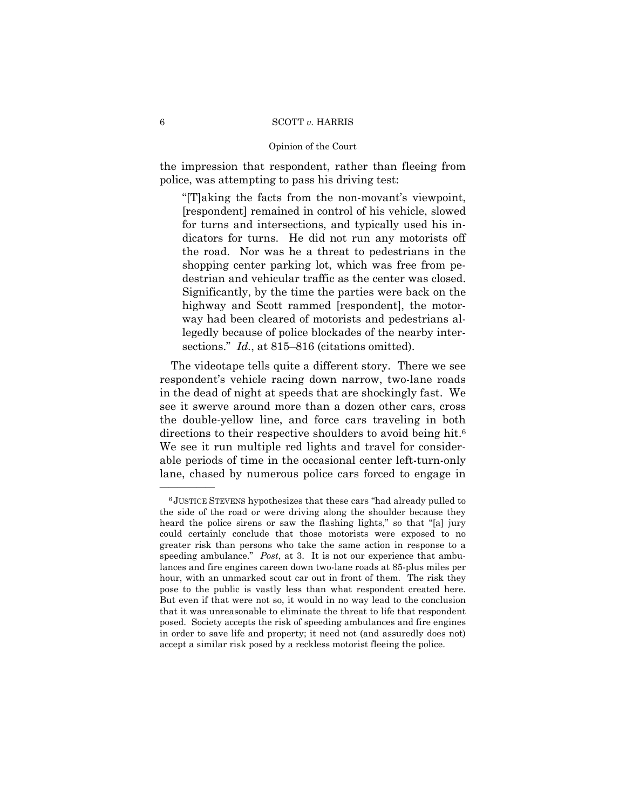### Opinion of the Court

the impression that respondent, rather than fleeing from police, was attempting to pass his driving test:

ì[T]aking the facts from the non-movantís viewpoint, [respondent] remained in control of his vehicle, slowed for turns and intersections, and typically used his indicators for turns. He did not run any motorists off the road. Nor was he a threat to pedestrians in the shopping center parking lot, which was free from pedestrian and vehicular traffic as the center was closed. Significantly, by the time the parties were back on the highway and Scott rammed [respondent], the motorway had been cleared of motorists and pedestrians allegedly because of police blockades of the nearby intersections." *Id.*, at 815–816 (citations omitted).

 The videotape tells quite a different story. There we see respondentís vehicle racing down narrow, two-lane roads in the dead of night at speeds that are shockingly fast. We see it swerve around more than a dozen other cars, cross the double-yellow line, and force cars traveling in both directions to their respective shoulders to avoid being hit.<sup>6</sup> We see it run multiple red lights and travel for considerable periods of time in the occasional center left-turn-only lane, chased by numerous police cars forced to engage in

 $6$  JUSTICE STEVENS hypothesizes that these cars "had already pulled to the side of the road or were driving along the shoulder because they heard the police sirens or saw the flashing lights," so that "[a] jury could certainly conclude that those motorists were exposed to no greater risk than persons who take the same action in response to a speeding ambulance." Post, at 3. It is not our experience that ambulances and fire engines careen down two-lane roads at 85-plus miles per hour, with an unmarked scout car out in front of them. The risk they pose to the public is vastly less than what respondent created here. But even if that were not so, it would in no way lead to the conclusion that it was unreasonable to eliminate the threat to life that respondent posed. Society accepts the risk of speeding ambulances and fire engines in order to save life and property; it need not (and assuredly does not) accept a similar risk posed by a reckless motorist fleeing the police.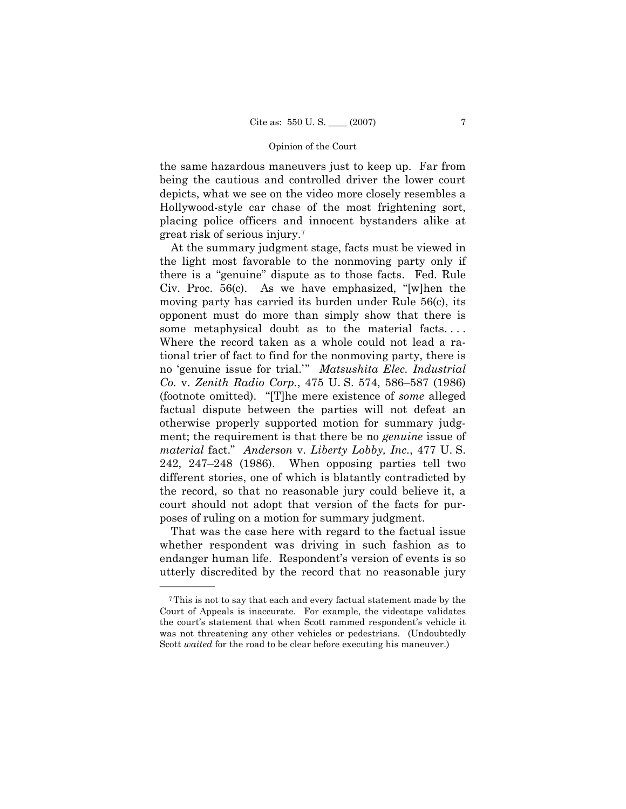the same hazardous maneuvers just to keep up. Far from being the cautious and controlled driver the lower court depicts, what we see on the video more closely resembles a Hollywood-style car chase of the most frightening sort, placing police officers and innocent bystanders alike at great risk of serious injury.7

 At the summary judgment stage, facts must be viewed in the light most favorable to the nonmoving party only if there is a "genuine" dispute as to those facts. Fed. Rule Civ. Proc.  $56(c)$ . As we have emphasized, "[w]hen the moving party has carried its burden under Rule 56(c), its opponent must do more than simply show that there is some metaphysical doubt as to the material facts. . . . Where the record taken as a whole could not lead a rational trier of fact to find for the nonmoving party, there is no 'genuine issue for trial.<sup>77</sup> *Matsushita Elec. Industrial Co.* v. *Zenith Radio Corp.*, 475 U.S. 574, 586–587 (1986) (footnote omitted). "[T]he mere existence of *some* alleged factual dispute between the parties will not defeat an otherwise properly supported motion for summary judgment; the requirement is that there be no *genuine* issue of *material* fact.î *Anderson* v. *Liberty Lobby, Inc.*, 477 U. S. 242, 247 $-248$  (1986). When opposing parties tell two different stories, one of which is blatantly contradicted by the record, so that no reasonable jury could believe it, a court should not adopt that version of the facts for purposes of ruling on a motion for summary judgment.

 That was the case here with regard to the factual issue whether respondent was driving in such fashion as to endanger human life. Respondent's version of events is so utterly discredited by the record that no reasonable jury

<sup>7</sup>This is not to say that each and every factual statement made by the Court of Appeals is inaccurate. For example, the videotape validates the court's statement that when Scott rammed respondent's vehicle it was not threatening any other vehicles or pedestrians. (Undoubtedly Scott *waited* for the road to be clear before executing his maneuver.)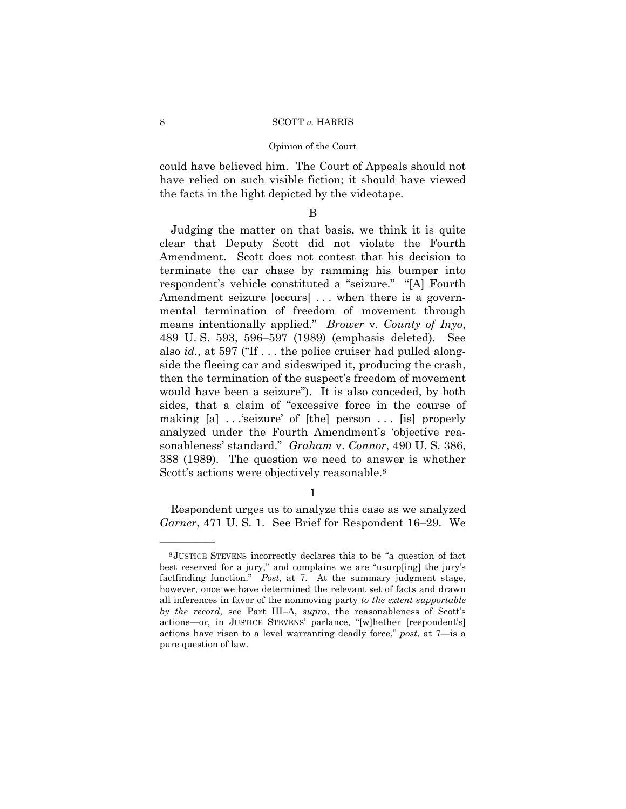could have believed him. The Court of Appeals should not have relied on such visible fiction; it should have viewed the facts in the light depicted by the videotape.

### B

 Judging the matter on that basis, we think it is quite clear that Deputy Scott did not violate the Fourth Amendment. Scott does not contest that his decision to terminate the car chase by ramming his bumper into respondent's vehicle constituted a "seizure." "[A] Fourth Amendment seizure [occurs] ... when there is a governmental termination of freedom of movement through means intentionally applied.î *Brower* v. *County of Inyo*, 489 U.S. 593, 596–597 (1989) (emphasis deleted). See also  $id.$ , at 597 ("If  $\ldots$  the police cruiser had pulled alongside the fleeing car and sideswiped it, producing the crash, then the termination of the suspect's freedom of movement would have been a seizure"). It is also conceded, by both sides, that a claim of "excessive force in the course of making [a] . . . 'seizure' of [the] person . . . [is] properly analyzed under the Fourth Amendment's 'objective reasonablenessí standard.î *Graham* v. *Connor*, 490 U. S. 386, 388 (1989). The question we need to answer is whether Scott's actions were objectively reasonable.<sup>8</sup>

1

 Respondent urges us to analyze this case as we analyzed *Garner*, 471 U.S. 1. See Brief for Respondent 16–29. We

 $8$ JUSTICE STEVENS incorrectly declares this to be "a question of fact best reserved for a jury," and complains we are "usurp[ing] the jury's factfinding function.î *Post*, at 7. At the summary judgment stage, however, once we have determined the relevant set of facts and drawn all inferences in favor of the nonmoving party *to the extent supportable by the record*, see Part III-A, *supra*, the reasonableness of Scott's actions—or, in JUSTICE STEVENS' parlance, "[w]hether [respondent's] actions have risen to a level warranting deadly force," *post*, at  $7$ —is a pure question of law.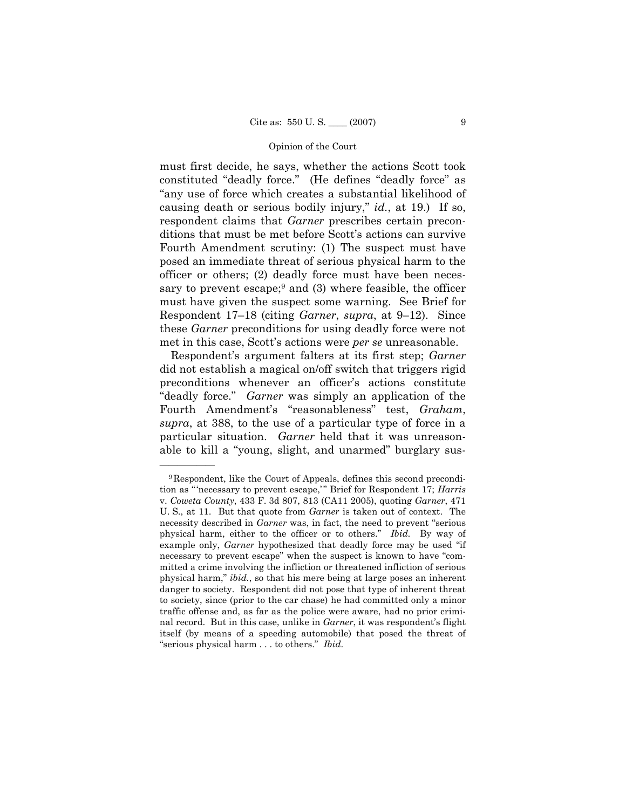must first decide, he says, whether the actions Scott took constituted "deadly force." (He defines "deadly force" as ìany use of force which creates a substantial likelihood of causing death or serious bodily injury," *id.*, at 19.) If so, respondent claims that *Garner* prescribes certain preconditions that must be met before Scott's actions can survive Fourth Amendment scrutiny: (1) The suspect must have posed an immediate threat of serious physical harm to the officer or others; (2) deadly force must have been necessary to prevent escape; $9$  and (3) where feasible, the officer must have given the suspect some warning. See Brief for Respondent 17<sup>-18</sup> (citing *Garner*, *supra*, at 9-12). Since these *Garner* preconditions for using deadly force were not met in this case, Scottís actions were *per se* unreasonable.

 Respondentís argument falters at its first step; *Garner*  did not establish a magical on/off switch that triggers rigid preconditions whenever an officerís actions constitute "deadly force." *Garner* was simply an application of the Fourth Amendment's "reasonableness" test, *Graham*, *supra*, at 388, to the use of a particular type of force in a particular situation. *Garner* held that it was unreasonable to kill a "young, slight, and unarmed" burglary sus-

<sup>9</sup>Respondent, like the Court of Appeals, defines this second precondition as "'necessary to prevent escape,'" Brief for Respondent 17; *Harris* v. *Coweta County*, 433 F. 3d 807, 813 (CA11 2005), quoting *Garner*, 471 U. S., at 11. But that quote from *Garner* is taken out of context. The necessity described in *Garner* was, in fact, the need to prevent "serious physical harm, either to the officer or to others.î *Ibid.* By way of example only, *Garner* hypothesized that deadly force may be used "if necessary to prevent escape" when the suspect is known to have "committed a crime involving the infliction or threatened infliction of serious physical harm," *ibid.*, so that his mere being at large poses an inherent danger to society. Respondent did not pose that type of inherent threat to society, since (prior to the car chase) he had committed only a minor traffic offense and, as far as the police were aware, had no prior criminal record. But in this case, unlike in *Garner*, it was respondent's flight itself (by means of a speeding automobile) that posed the threat of "serious physical harm . . . to others." *Ibid.*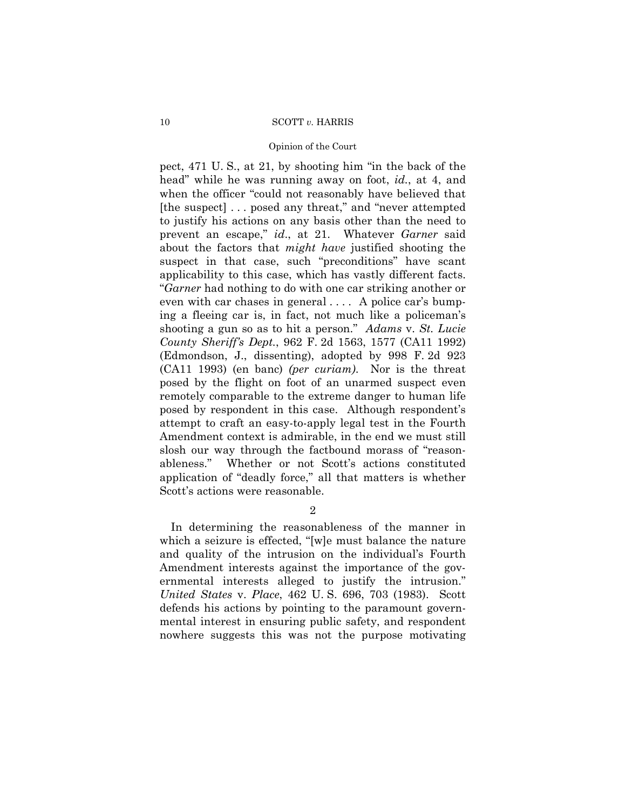### Opinion of the Court

pect,  $471$  U.S., at  $21$ , by shooting him "in the back of the head" while he was running away on foot, *id.*, at 4, and when the officer "could not reasonably have believed that [the suspect]  $\dots$  posed any threat," and "never attempted to justify his actions on any basis other than the need to prevent an escape," *id.*, at 21. Whatever *Garner* said about the factors that *might have* justified shooting the suspect in that case, such "preconditions" have scant applicability to this case, which has vastly different facts. ì*Garner* had nothing to do with one car striking another or even with car chases in general  $\dots$ . A police car's bumping a fleeing car is, in fact, not much like a policemanís shooting a gun so as to hit a person.î *Adams* v. *St. Lucie County Sheriffís Dept.*, 962 F. 2d 1563, 1577 (CA11 1992) (Edmondson, J., dissenting), adopted by 998 F. 2d 923 (CA11 1993) (en banc) *(per curiam)*. Nor is the threat posed by the flight on foot of an unarmed suspect even remotely comparable to the extreme danger to human life posed by respondent in this case. Although respondent's attempt to craft an easy-to-apply legal test in the Fourth Amendment context is admirable, in the end we must still slosh our way through the factbound morass of "reasonableness." Whether or not Scott's actions constituted application of "deadly force," all that matters is whether Scott's actions were reasonable.

 $\mathcal{D}_{\mathcal{L}}$ 

 In determining the reasonableness of the manner in which a seizure is effected, " $[w]e$  must balance the nature and quality of the intrusion on the individual's Fourth Amendment interests against the importance of the governmental interests alleged to justify the intrusion.<sup>"</sup> *United States* v. *Place*, 462 U. S. 696, 703 (1983). Scott defends his actions by pointing to the paramount governmental interest in ensuring public safety, and respondent nowhere suggests this was not the purpose motivating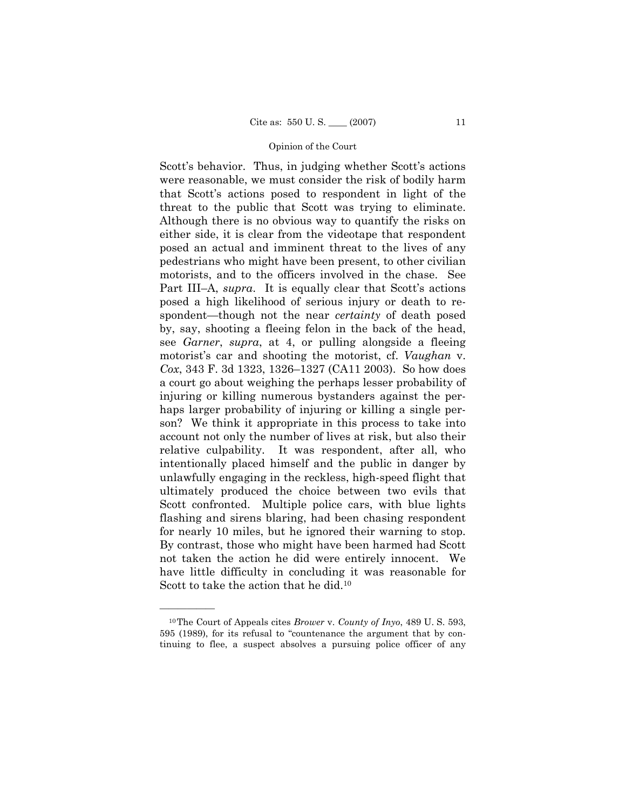Scott's behavior. Thus, in judging whether Scott's actions were reasonable, we must consider the risk of bodily harm that Scottís actions posed to respondent in light of the threat to the public that Scott was trying to eliminate. Although there is no obvious way to quantify the risks on either side, it is clear from the videotape that respondent posed an actual and imminent threat to the lives of any pedestrians who might have been present, to other civilian motorists, and to the officers involved in the chase. See Part III–A, *supra*. It is equally clear that Scott's actions posed a high likelihood of serious injury or death to respondent—though not the near *certainty* of death posed by, say, shooting a fleeing felon in the back of the head, see *Garner*, *supra*, at 4, or pulling alongside a fleeing motorist's car and shooting the motorist, cf. *Vaughan* v. *Cox*, 343 F. 3d 1323, 1326–1327 (CA11 2003). So how does a court go about weighing the perhaps lesser probability of injuring or killing numerous bystanders against the perhaps larger probability of injuring or killing a single person? We think it appropriate in this process to take into account not only the number of lives at risk, but also their relative culpability. It was respondent, after all, who intentionally placed himself and the public in danger by unlawfully engaging in the reckless, high-speed flight that ultimately produced the choice between two evils that Scott confronted. Multiple police cars, with blue lights flashing and sirens blaring, had been chasing respondent for nearly 10 miles, but he ignored their warning to stop. By contrast, those who might have been harmed had Scott not taken the action he did were entirely innocent. We have little difficulty in concluding it was reasonable for Scott to take the action that he did.10

<sup>10</sup>The Court of Appeals cites *Brower* v. *County of Inyo*, 489 U. S. 593,  $595$  (1989), for its refusal to "countenance the argument that by continuing to flee, a suspect absolves a pursuing police officer of any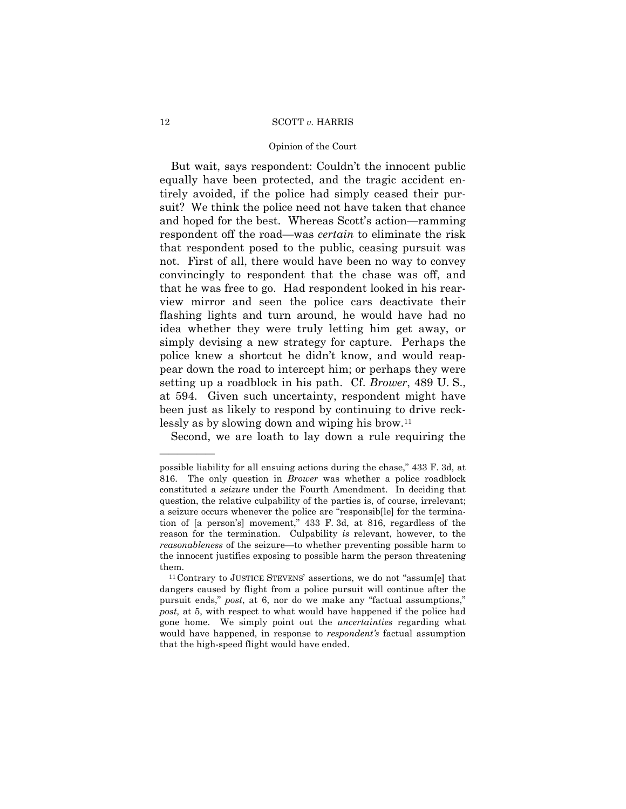### Opinion of the Court

But wait, says respondent: Couldn't the innocent public equally have been protected, and the tragic accident entirely avoided, if the police had simply ceased their pursuit? We think the police need not have taken that chance and hoped for the best. Whereas Scott's action—ramming respondent off the road—was *certain* to eliminate the risk that respondent posed to the public, ceasing pursuit was not. First of all, there would have been no way to convey convincingly to respondent that the chase was off, and that he was free to go. Had respondent looked in his rearview mirror and seen the police cars deactivate their flashing lights and turn around, he would have had no idea whether they were truly letting him get away, or simply devising a new strategy for capture. Perhaps the police knew a shortcut he didnít know, and would reappear down the road to intercept him; or perhaps they were setting up a roadblock in his path. Cf. *Brower*, 489 U. S., at 594. Given such uncertainty, respondent might have been just as likely to respond by continuing to drive recklessly as by slowing down and wiping his brow.11

Second, we are loath to lay down a rule requiring the

possible liability for all ensuing actions during the chase," 433 F. 3d, at 816. The only question in *Brower* was whether a police roadblock constituted a *seizure* under the Fourth Amendment. In deciding that question, the relative culpability of the parties is, of course, irrelevant; a seizure occurs whenever the police are "responsib[le] for the termination of [a person's] movement," 433 F. 3d, at 816, regardless of the reason for the termination. Culpability *is* relevant, however, to the *reasonableness* of the seizure—to whether preventing possible harm to the innocent justifies exposing to possible harm the person threatening them.<br> $11$ Contrary to JUSTICE STEVENS' assertions, we do not "assum[e] that

dangers caused by flight from a police pursuit will continue after the pursuit ends," *post*, at 6, nor do we make any "factual assumptions," *post,* at 5, with respect to what would have happened if the police had gone home. We simply point out the *uncertainties* regarding what would have happened, in response to *respondentís* factual assumption that the high-speed flight would have ended.